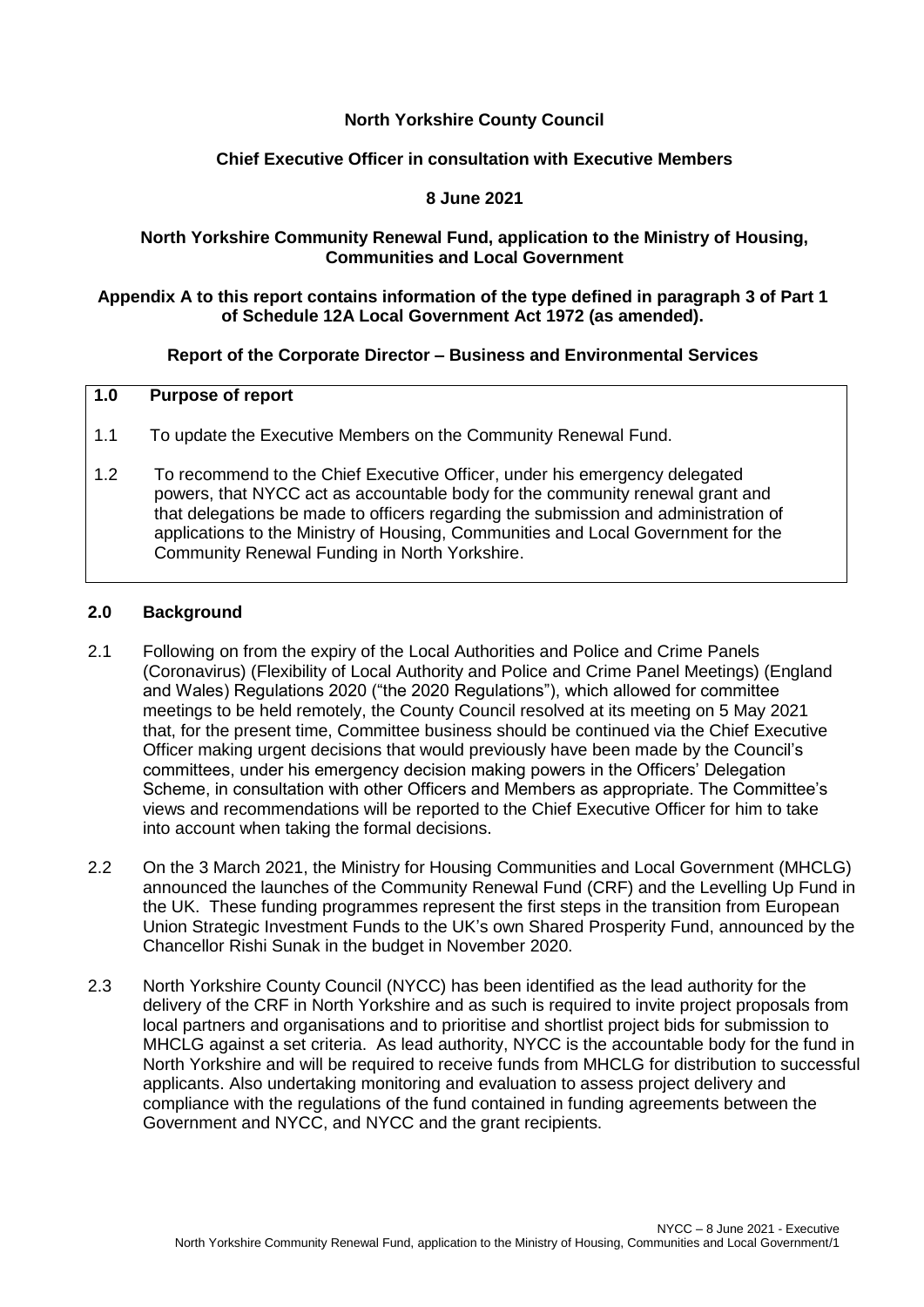### **North Yorkshire County Council**

#### **Chief Executive Officer in consultation with Executive Members**

#### **8 June 2021**

#### **North Yorkshire Community Renewal Fund, application to the Ministry of Housing, Communities and Local Government**

#### **Appendix A to this report contains information of the type defined in paragraph 3 of Part 1 of Schedule 12A Local Government Act 1972 (as amended).**

#### **Report of the Corporate Director – Business and Environmental Services**

# **1.0 Purpose of report**

- 1.1 To update the Executive Members on the Community Renewal Fund.
- 1.2 To recommend to the Chief Executive Officer, under his emergency delegated powers, that NYCC act as accountable body for the community renewal grant and that delegations be made to officers regarding the submission and administration of applications to the Ministry of Housing, Communities and Local Government for the Community Renewal Funding in North Yorkshire.

#### **2.0 Background**

- 2.1 Following on from the expiry of the Local Authorities and Police and Crime Panels (Coronavirus) (Flexibility of Local Authority and Police and Crime Panel Meetings) (England and Wales) Regulations 2020 ("the 2020 Regulations"), which allowed for committee meetings to be held remotely, the County Council resolved at its meeting on 5 May 2021 that, for the present time, Committee business should be continued via the Chief Executive Officer making urgent decisions that would previously have been made by the Council's committees, under his emergency decision making powers in the Officers' Delegation Scheme, in consultation with other Officers and Members as appropriate. The Committee's views and recommendations will be reported to the Chief Executive Officer for him to take into account when taking the formal decisions.
- 2.2 On the 3 March 2021, the Ministry for Housing Communities and Local Government (MHCLG) announced the launches of the Community Renewal Fund (CRF) and the Levelling Up Fund in the UK. These funding programmes represent the first steps in the transition from European Union Strategic Investment Funds to the UK's own Shared Prosperity Fund, announced by the Chancellor Rishi Sunak in the budget in November 2020.
- 2.3 North Yorkshire County Council (NYCC) has been identified as the lead authority for the delivery of the CRF in North Yorkshire and as such is required to invite project proposals from local partners and organisations and to prioritise and shortlist project bids for submission to MHCLG against a set criteria. As lead authority, NYCC is the accountable body for the fund in North Yorkshire and will be required to receive funds from MHCLG for distribution to successful applicants. Also undertaking monitoring and evaluation to assess project delivery and compliance with the regulations of the fund contained in funding agreements between the Government and NYCC, and NYCC and the grant recipients.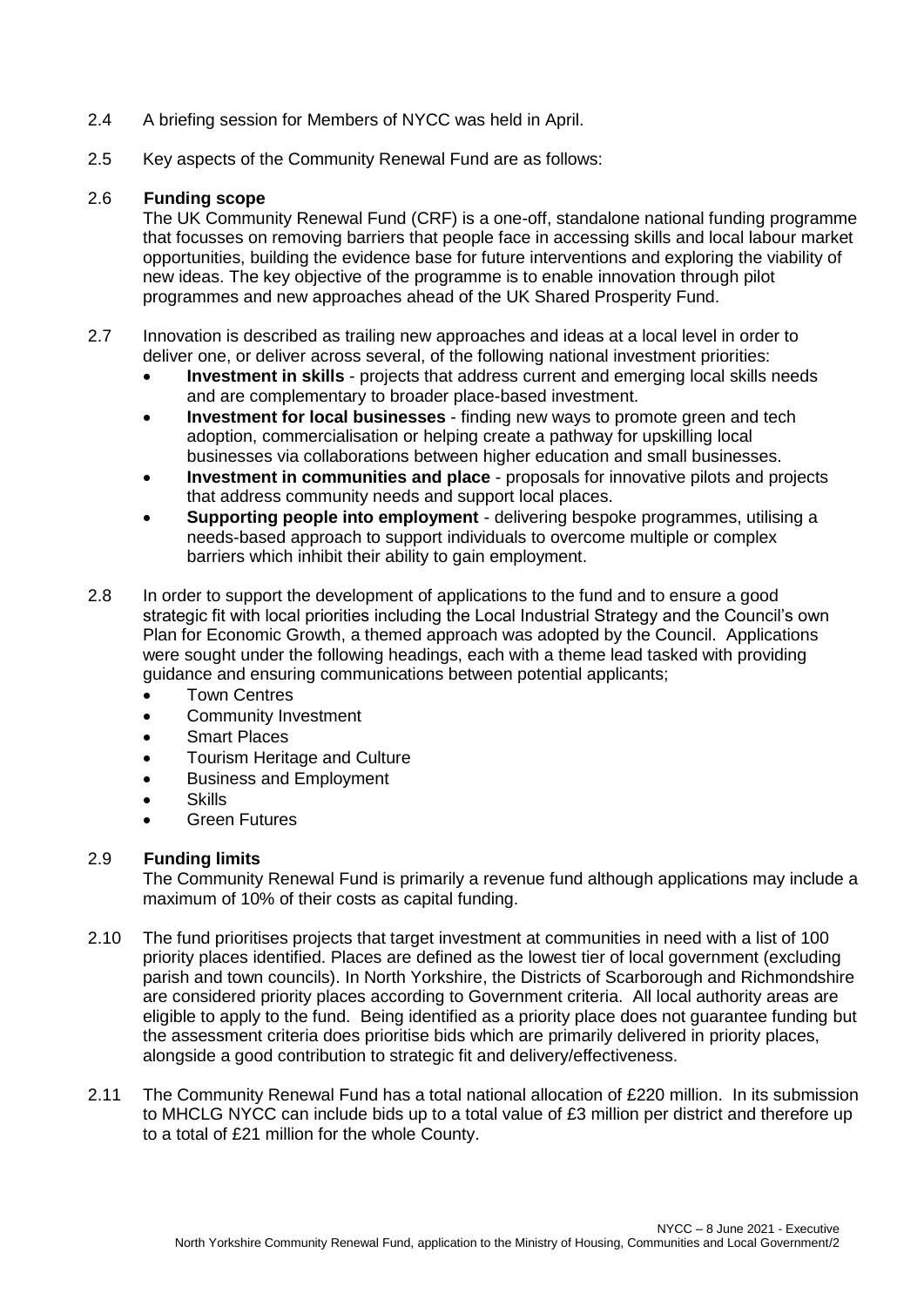- 2.4 A briefing session for Members of NYCC was held in April.
- 2.5 Key aspects of the Community Renewal Fund are as follows:

#### 2.6 **Funding scope**

The UK Community Renewal Fund (CRF) is a one-off, standalone national funding programme that focusses on removing barriers that people face in accessing skills and local labour market opportunities, building the evidence base for future interventions and exploring the viability of new ideas. The key objective of the programme is to enable innovation through pilot programmes and new approaches ahead of the UK Shared Prosperity Fund.

- 2.7 Innovation is described as trailing new approaches and ideas at a local level in order to deliver one, or deliver across several, of the following national investment priorities:
	- **Investment in skills** projects that address current and emerging local skills needs and are complementary to broader place-based investment.
	- **Investment for local businesses**  finding new ways to promote green and tech adoption, commercialisation or helping create a pathway for upskilling local businesses via collaborations between higher education and small businesses.
	- **Investment in communities and place** proposals for innovative pilots and projects that address community needs and support local places.
	- **Supporting people into employment** delivering bespoke programmes, utilising a needs-based approach to support individuals to overcome multiple or complex barriers which inhibit their ability to gain employment.
- 2.8 In order to support the development of applications to the fund and to ensure a good strategic fit with local priorities including the Local Industrial Strategy and the Council's own Plan for Economic Growth, a themed approach was adopted by the Council. Applications were sought under the following headings, each with a theme lead tasked with providing guidance and ensuring communications between potential applicants;
	- Town Centres
	- Community Investment
	- Smart Places
	- Tourism Heritage and Culture
	- Business and Employment
	- Skills
	- Green Futures

### 2.9 **Funding limits**

The Community Renewal Fund is primarily a revenue fund although applications may include a maximum of 10% of their costs as capital funding.

- 2.10 The fund prioritises projects that target investment at communities in need with a list of 100 priority places identified. Places are defined as the lowest tier of local government (excluding parish and town councils). In North Yorkshire, the Districts of Scarborough and Richmondshire are considered priority places according to Government criteria. All local authority areas are eligible to apply to the fund. Being identified as a priority place does not guarantee funding but the assessment criteria does prioritise bids which are primarily delivered in priority places, alongside a good contribution to strategic fit and delivery/effectiveness.
- 2.11 The Community Renewal Fund has a total national allocation of £220 million. In its submission to MHCLG NYCC can include bids up to a total value of £3 million per district and therefore up to a total of £21 million for the whole County.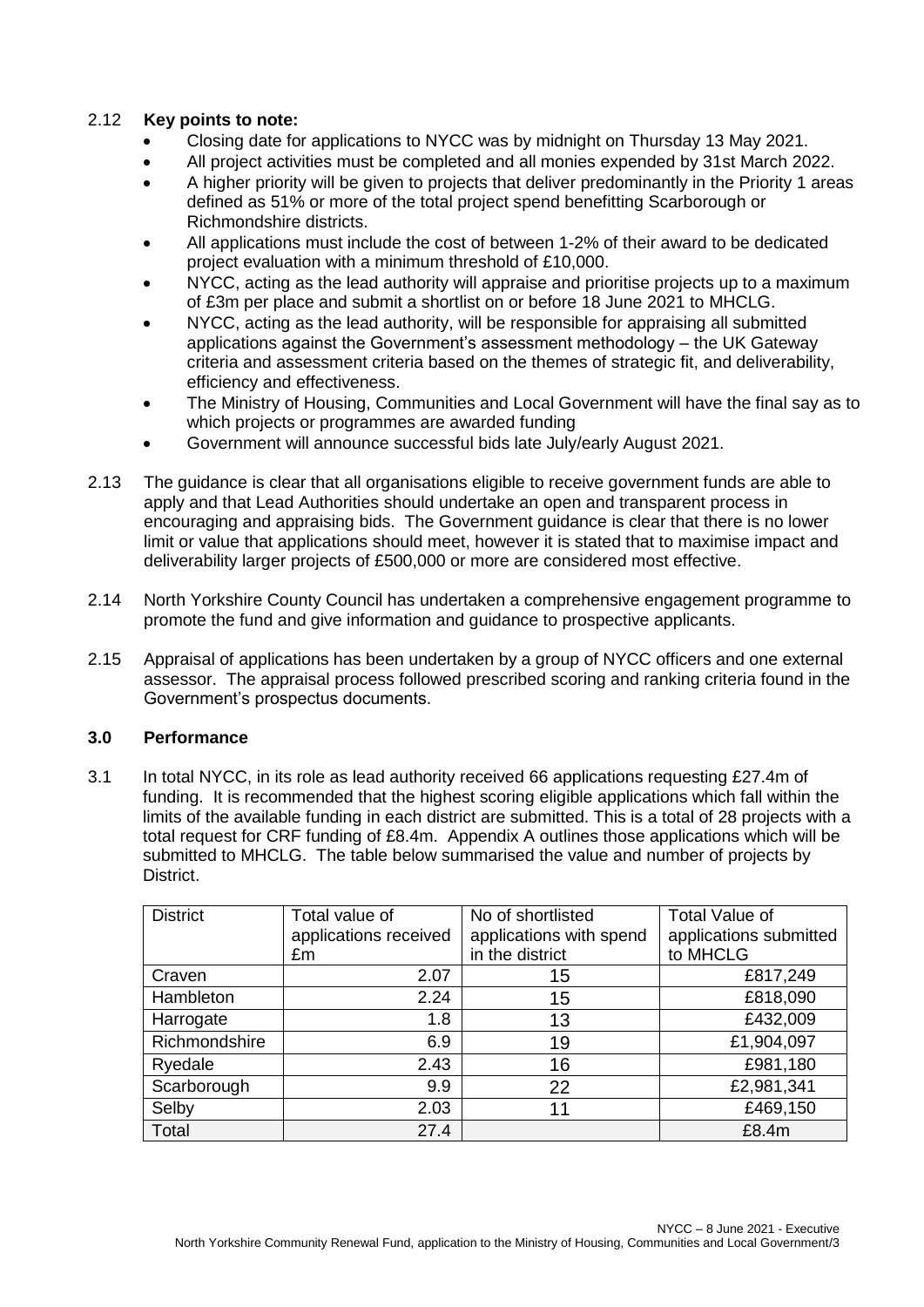# 2.12 **Key points to note:**

- Closing date for applications to NYCC was by midnight on Thursday 13 May 2021.
- All project activities must be completed and all monies expended by 31st March 2022.
- A higher priority will be given to projects that deliver predominantly in the Priority 1 areas defined as 51% or more of the total project spend benefitting Scarborough or Richmondshire districts.
- All applications must include the cost of between 1-2% of their award to be dedicated project evaluation with a minimum threshold of £10,000.
- NYCC, acting as the lead authority will appraise and prioritise projects up to a maximum of £3m per place and submit a shortlist on or before 18 June 2021 to MHCLG.
- NYCC, acting as the lead authority, will be responsible for appraising all submitted applications against the Government's assessment methodology – the UK Gateway criteria and assessment criteria based on the themes of strategic fit, and deliverability, efficiency and effectiveness.
- The Ministry of Housing, Communities and Local Government will have the final say as to which projects or programmes are awarded funding
- Government will announce successful bids late July/early August 2021.
- 2.13 The guidance is clear that all organisations eligible to receive government funds are able to apply and that Lead Authorities should undertake an open and transparent process in encouraging and appraising bids. The Government guidance is clear that there is no lower limit or value that applications should meet, however it is stated that to maximise impact and deliverability larger projects of £500,000 or more are considered most effective.
- 2.14 North Yorkshire County Council has undertaken a comprehensive engagement programme to promote the fund and give information and guidance to prospective applicants.
- 2.15 Appraisal of applications has been undertaken by a group of NYCC officers and one external assessor. The appraisal process followed prescribed scoring and ranking criteria found in the Government's prospectus documents.

# **3.0 Performance**

3.1 In total NYCC, in its role as lead authority received 66 applications requesting £27.4m of funding. It is recommended that the highest scoring eligible applications which fall within the limits of the available funding in each district are submitted. This is a total of 28 projects with a total request for CRF funding of £8.4m. Appendix A outlines those applications which will be submitted to MHCLG. The table below summarised the value and number of projects by **District.** 

| <b>District</b> | Total value of        | No of shortlisted       | <b>Total Value of</b>  |
|-----------------|-----------------------|-------------------------|------------------------|
|                 | applications received | applications with spend | applications submitted |
|                 | £m                    | in the district         | to MHCLG               |
| Craven          | 2.07                  | 15                      | £817,249               |
| Hambleton       | 2.24                  | 15                      | £818,090               |
| Harrogate       | 1.8                   | 13                      | £432,009               |
| Richmondshire   | 6.9                   | 19                      | £1,904,097             |
| Ryedale         | 2.43                  | 16                      | £981,180               |
| Scarborough     | 9.9                   | 22                      | £2,981,341             |
| Selby           | 2.03                  | 11                      | £469,150               |
| Total           | 27.4                  |                         | £8.4m                  |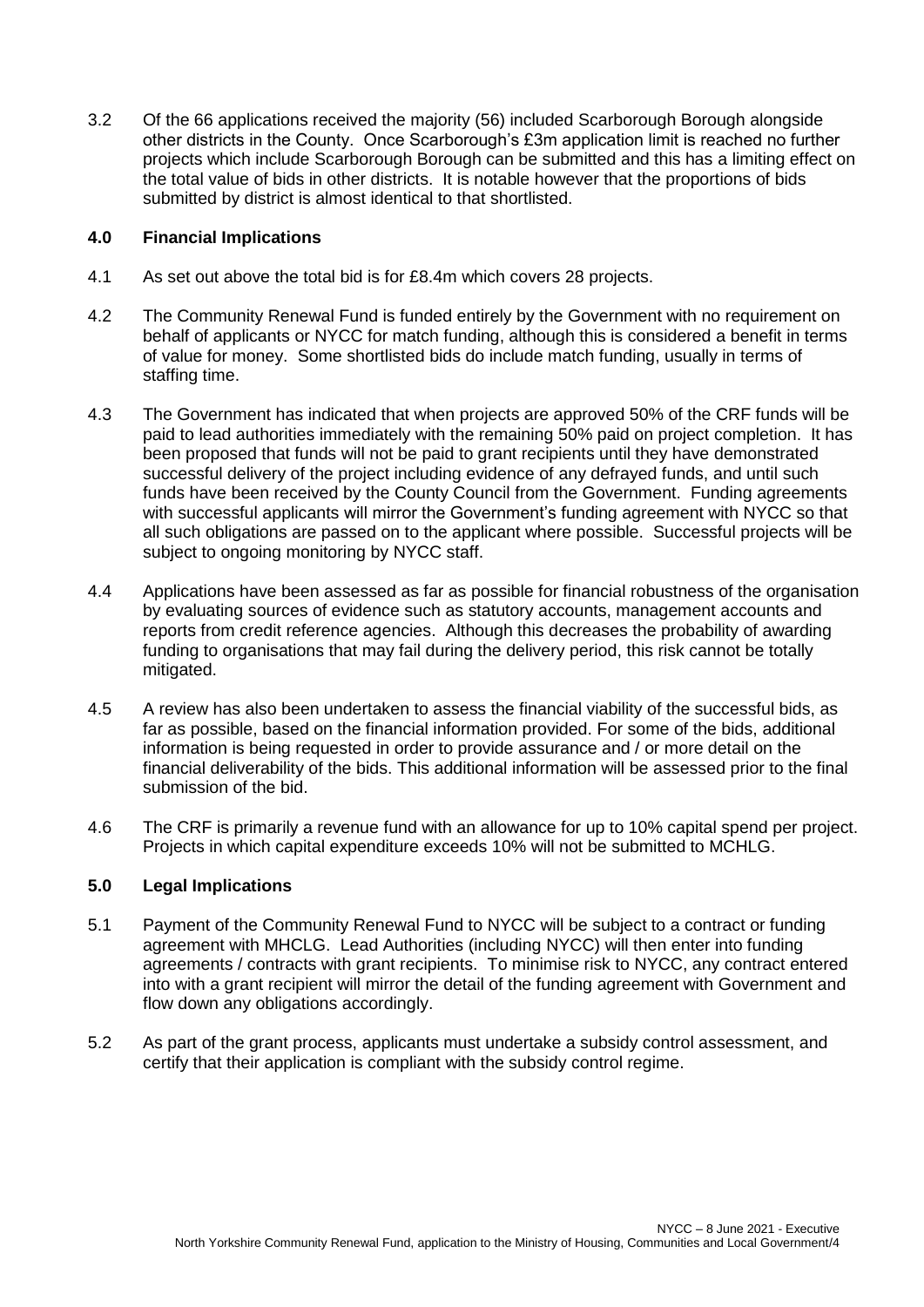3.2 Of the 66 applications received the majority (56) included Scarborough Borough alongside other districts in the County. Once Scarborough's £3m application limit is reached no further projects which include Scarborough Borough can be submitted and this has a limiting effect on the total value of bids in other districts. It is notable however that the proportions of bids submitted by district is almost identical to that shortlisted.

### **4.0 Financial Implications**

- 4.1 As set out above the total bid is for £8.4m which covers 28 projects.
- 4.2 The Community Renewal Fund is funded entirely by the Government with no requirement on behalf of applicants or NYCC for match funding, although this is considered a benefit in terms of value for money. Some shortlisted bids do include match funding, usually in terms of staffing time.
- 4.3 The Government has indicated that when projects are approved 50% of the CRF funds will be paid to lead authorities immediately with the remaining 50% paid on project completion. It has been proposed that funds will not be paid to grant recipients until they have demonstrated successful delivery of the project including evidence of any defrayed funds, and until such funds have been received by the County Council from the Government. Funding agreements with successful applicants will mirror the Government's funding agreement with NYCC so that all such obligations are passed on to the applicant where possible. Successful projects will be subject to ongoing monitoring by NYCC staff.
- 4.4 Applications have been assessed as far as possible for financial robustness of the organisation by evaluating sources of evidence such as statutory accounts, management accounts and reports from credit reference agencies. Although this decreases the probability of awarding funding to organisations that may fail during the delivery period, this risk cannot be totally mitigated.
- 4.5 A review has also been undertaken to assess the financial viability of the successful bids, as far as possible, based on the financial information provided. For some of the bids, additional information is being requested in order to provide assurance and / or more detail on the financial deliverability of the bids. This additional information will be assessed prior to the final submission of the bid.
- 4.6 The CRF is primarily a revenue fund with an allowance for up to 10% capital spend per project. Projects in which capital expenditure exceeds 10% will not be submitted to MCHLG.

### **5.0 Legal Implications**

- 5.1 Payment of the Community Renewal Fund to NYCC will be subject to a contract or funding agreement with MHCLG. Lead Authorities (including NYCC) will then enter into funding agreements / contracts with grant recipients. To minimise risk to NYCC, any contract entered into with a grant recipient will mirror the detail of the funding agreement with Government and flow down any obligations accordingly.
- 5.2 As part of the grant process, applicants must undertake a subsidy control assessment, and certify that their application is compliant with the subsidy control regime.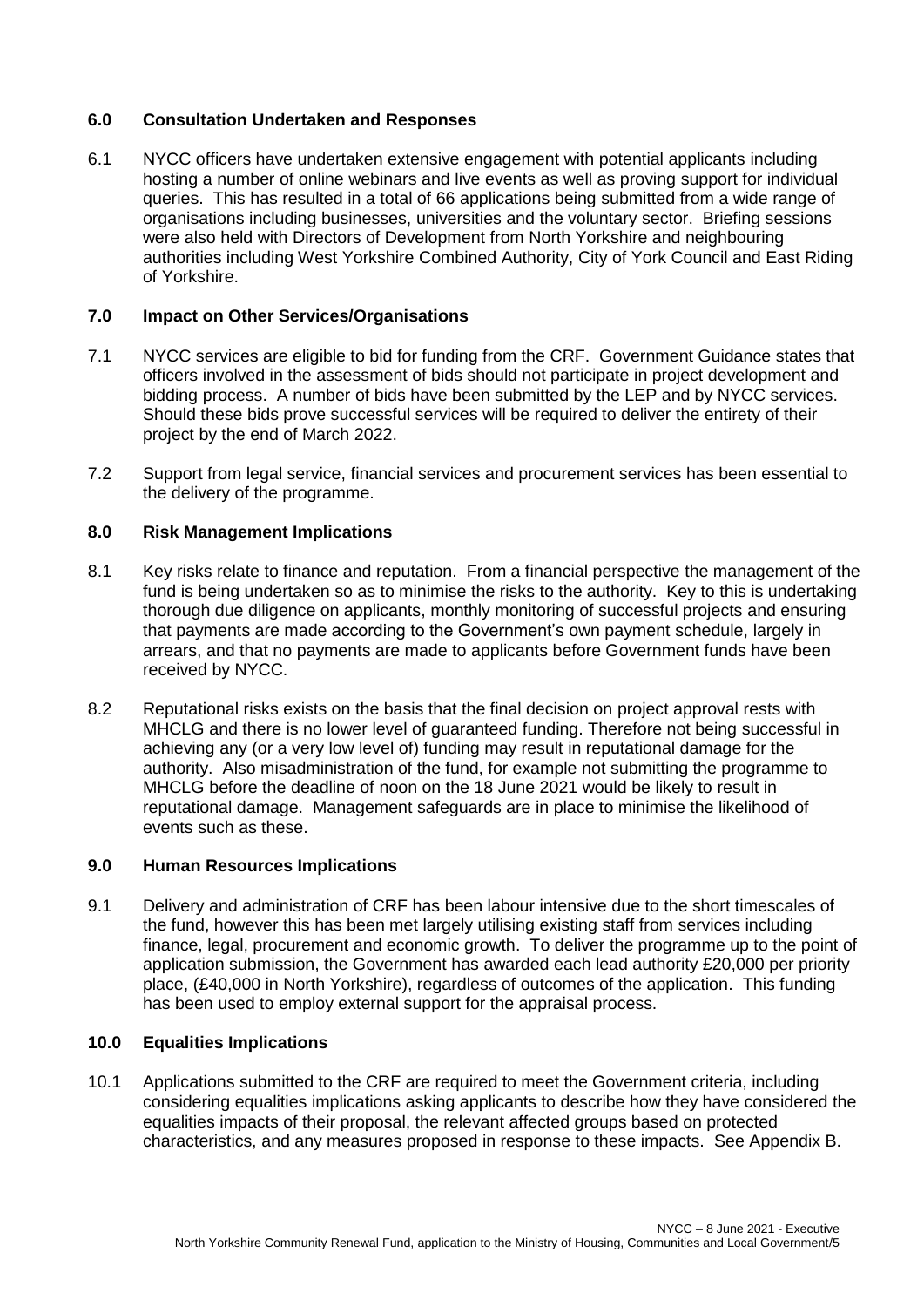### **6.0 Consultation Undertaken and Responses**

6.1 NYCC officers have undertaken extensive engagement with potential applicants including hosting a number of online webinars and live events as well as proving support for individual queries. This has resulted in a total of 66 applications being submitted from a wide range of organisations including businesses, universities and the voluntary sector. Briefing sessions were also held with Directors of Development from North Yorkshire and neighbouring authorities including West Yorkshire Combined Authority, City of York Council and East Riding of Yorkshire.

# **7.0 Impact on Other Services/Organisations**

- 7.1 NYCC services are eligible to bid for funding from the CRF. Government Guidance states that officers involved in the assessment of bids should not participate in project development and bidding process. A number of bids have been submitted by the LEP and by NYCC services. Should these bids prove successful services will be required to deliver the entirety of their project by the end of March 2022.
- 7.2 Support from legal service, financial services and procurement services has been essential to the delivery of the programme.

# **8.0 Risk Management Implications**

- 8.1 Key risks relate to finance and reputation. From a financial perspective the management of the fund is being undertaken so as to minimise the risks to the authority. Key to this is undertaking thorough due diligence on applicants, monthly monitoring of successful projects and ensuring that payments are made according to the Government's own payment schedule, largely in arrears, and that no payments are made to applicants before Government funds have been received by NYCC.
- 8.2 Reputational risks exists on the basis that the final decision on project approval rests with MHCLG and there is no lower level of guaranteed funding. Therefore not being successful in achieving any (or a very low level of) funding may result in reputational damage for the authority. Also misadministration of the fund, for example not submitting the programme to MHCLG before the deadline of noon on the 18 June 2021 would be likely to result in reputational damage. Management safeguards are in place to minimise the likelihood of events such as these.

### **9.0 Human Resources Implications**

9.1 Delivery and administration of CRF has been labour intensive due to the short timescales of the fund, however this has been met largely utilising existing staff from services including finance, legal, procurement and economic growth. To deliver the programme up to the point of application submission, the Government has awarded each lead authority £20,000 per priority place, (£40,000 in North Yorkshire), regardless of outcomes of the application. This funding has been used to employ external support for the appraisal process.

### **10.0 Equalities Implications**

10.1 Applications submitted to the CRF are required to meet the Government criteria, including considering equalities implications asking applicants to describe how they have considered the equalities impacts of their proposal, the relevant affected groups based on protected characteristics, and any measures proposed in response to these impacts. See Appendix B.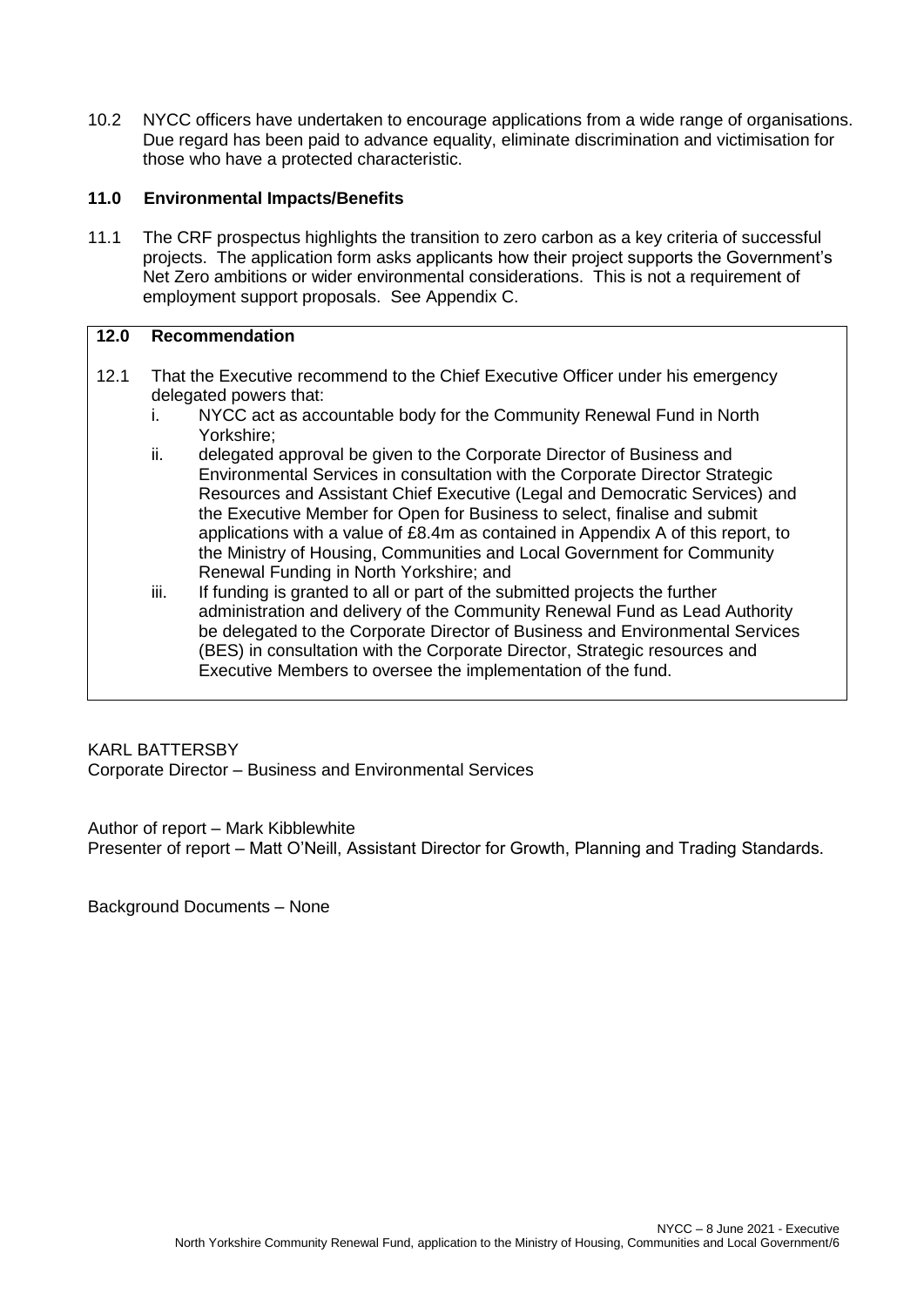10.2 NYCC officers have undertaken to encourage applications from a wide range of organisations. Due regard has been paid to advance equality, eliminate discrimination and victimisation for those who have a protected characteristic.

## **11.0 Environmental Impacts/Benefits**

11.1 The CRF prospectus highlights the transition to zero carbon as a key criteria of successful projects. The application form asks applicants how their project supports the Government's Net Zero ambitions or wider environmental considerations. This is not a requirement of employment support proposals. See Appendix C.

### **12.0 Recommendation**

- 12.1 That the Executive recommend to the Chief Executive Officer under his emergency delegated powers that:
	- i. NYCC act as accountable body for the Community Renewal Fund in North Yorkshire;
	- ii. delegated approval be given to the Corporate Director of Business and Environmental Services in consultation with the Corporate Director Strategic Resources and Assistant Chief Executive (Legal and Democratic Services) and the Executive Member for Open for Business to select, finalise and submit applications with a value of £8.4m as contained in Appendix A of this report, to the Ministry of Housing, Communities and Local Government for Community Renewal Funding in North Yorkshire; and
	- iii. If funding is granted to all or part of the submitted projects the further administration and delivery of the Community Renewal Fund as Lead Authority be delegated to the Corporate Director of Business and Environmental Services (BES) in consultation with the Corporate Director, Strategic resources and Executive Members to oversee the implementation of the fund.

### KARL BATTERSBY

Corporate Director – Business and Environmental Services

#### Author of report – Mark Kibblewhite

Presenter of report – Matt O'Neill, Assistant Director for Growth, Planning and Trading Standards.

Background Documents – None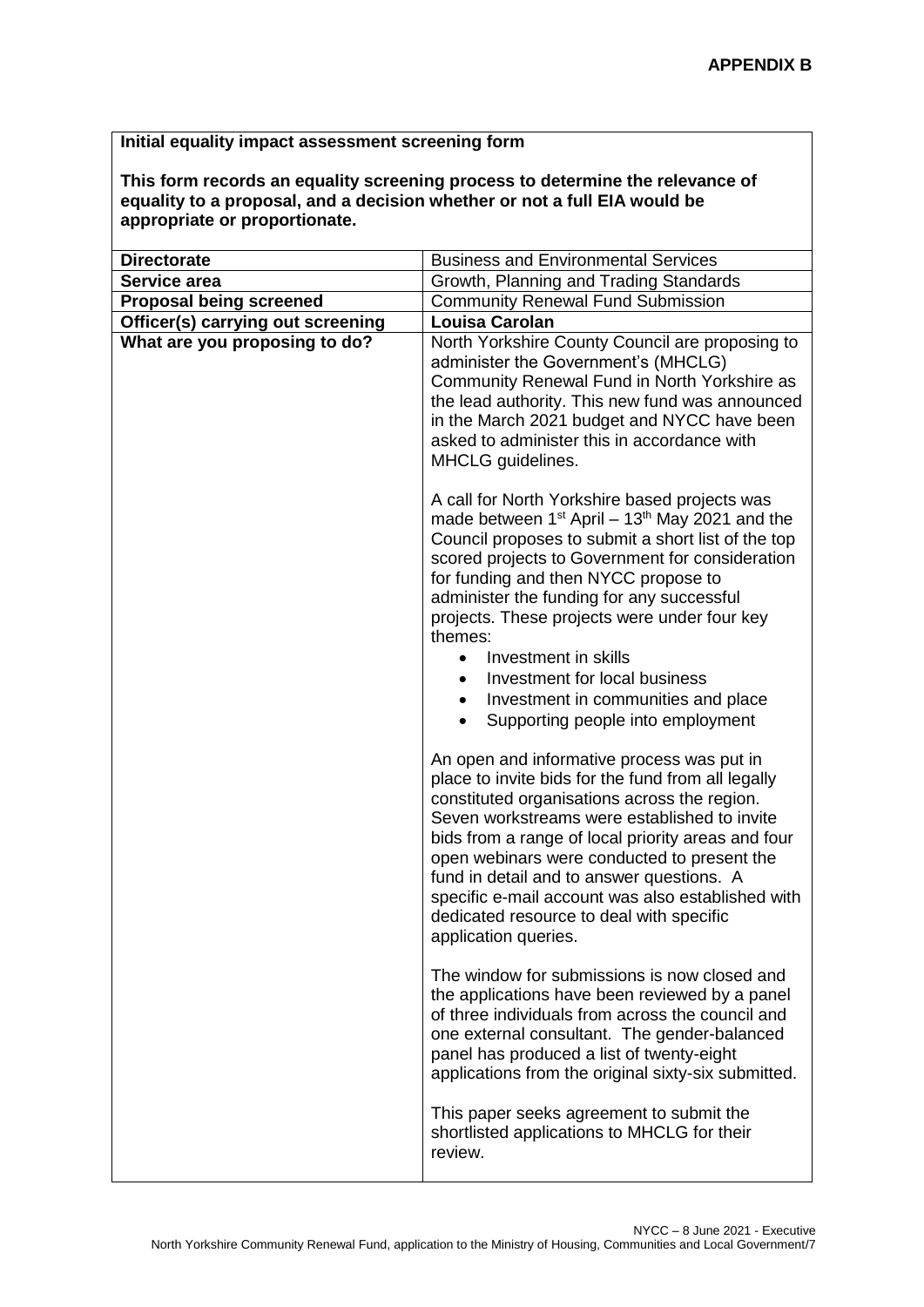# **Initial equality impact assessment screening form**

**This form records an equality screening process to determine the relevance of equality to a proposal, and a decision whether or not a full EIA would be appropriate or proportionate.** 

| <b>Directorate</b>                | <b>Business and Environmental Services</b>                                                                                                                                                                                                                                                                                                                                                                                                                                                                                                     |
|-----------------------------------|------------------------------------------------------------------------------------------------------------------------------------------------------------------------------------------------------------------------------------------------------------------------------------------------------------------------------------------------------------------------------------------------------------------------------------------------------------------------------------------------------------------------------------------------|
| Service area                      | Growth, Planning and Trading Standards                                                                                                                                                                                                                                                                                                                                                                                                                                                                                                         |
| <b>Proposal being screened</b>    | <b>Community Renewal Fund Submission</b>                                                                                                                                                                                                                                                                                                                                                                                                                                                                                                       |
| Officer(s) carrying out screening | <b>Louisa Carolan</b>                                                                                                                                                                                                                                                                                                                                                                                                                                                                                                                          |
| What are you proposing to do?     | North Yorkshire County Council are proposing to<br>administer the Government's (MHCLG)<br>Community Renewal Fund in North Yorkshire as<br>the lead authority. This new fund was announced<br>in the March 2021 budget and NYCC have been<br>asked to administer this in accordance with<br>MHCLG guidelines.                                                                                                                                                                                                                                   |
|                                   | A call for North Yorkshire based projects was<br>made between $1^{st}$ April – $13^{th}$ May 2021 and the<br>Council proposes to submit a short list of the top<br>scored projects to Government for consideration<br>for funding and then NYCC propose to<br>administer the funding for any successful<br>projects. These projects were under four key<br>themes:<br>Investment in skills<br>$\bullet$<br>Investment for local business<br>$\bullet$<br>Investment in communities and place<br>$\bullet$<br>Supporting people into employment |
|                                   | An open and informative process was put in<br>place to invite bids for the fund from all legally<br>constituted organisations across the region.<br>Seven workstreams were established to invite<br>bids from a range of local priority areas and four<br>open webinars were conducted to present the<br>fund in detail and to answer questions. A<br>specific e-mail account was also established with<br>dedicated resource to deal with specific<br>application queries.                                                                    |
|                                   | The window for submissions is now closed and<br>the applications have been reviewed by a panel<br>of three individuals from across the council and<br>one external consultant. The gender-balanced<br>panel has produced a list of twenty-eight<br>applications from the original sixty-six submitted.                                                                                                                                                                                                                                         |
|                                   | This paper seeks agreement to submit the<br>shortlisted applications to MHCLG for their<br>review.                                                                                                                                                                                                                                                                                                                                                                                                                                             |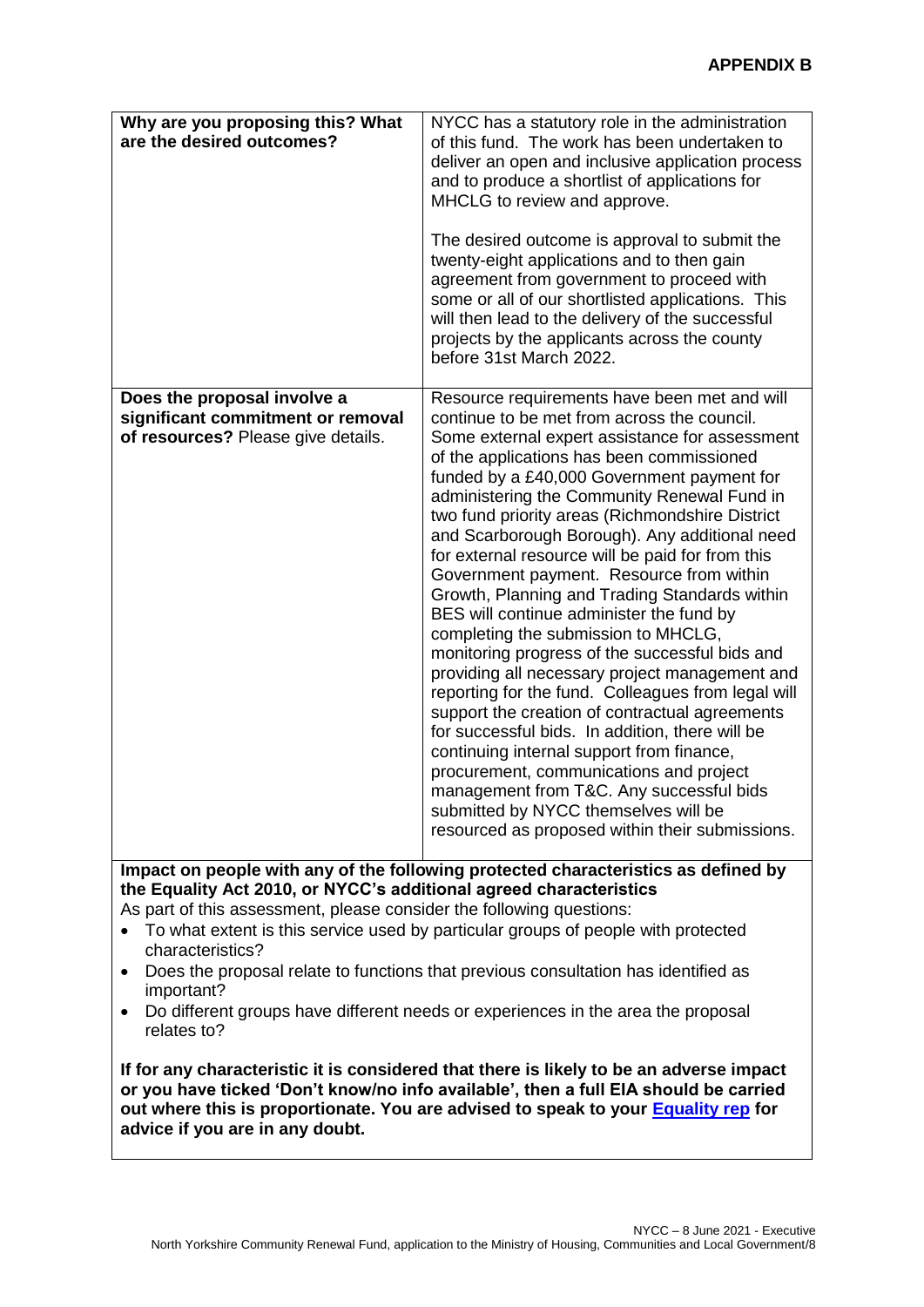| Why are you proposing this? What<br>are the desired outcomes?                                          | NYCC has a statutory role in the administration<br>of this fund. The work has been undertaken to<br>deliver an open and inclusive application process<br>and to produce a shortlist of applications for<br>MHCLG to review and approve.<br>The desired outcome is approval to submit the<br>twenty-eight applications and to then gain<br>agreement from government to proceed with<br>some or all of our shortlisted applications. This<br>will then lead to the delivery of the successful                                                                                                                                                                                                                                                                                                                                                                                                                                                                                                                                                                                                                                  |
|--------------------------------------------------------------------------------------------------------|-------------------------------------------------------------------------------------------------------------------------------------------------------------------------------------------------------------------------------------------------------------------------------------------------------------------------------------------------------------------------------------------------------------------------------------------------------------------------------------------------------------------------------------------------------------------------------------------------------------------------------------------------------------------------------------------------------------------------------------------------------------------------------------------------------------------------------------------------------------------------------------------------------------------------------------------------------------------------------------------------------------------------------------------------------------------------------------------------------------------------------|
|                                                                                                        | projects by the applicants across the county<br>before 31st March 2022.                                                                                                                                                                                                                                                                                                                                                                                                                                                                                                                                                                                                                                                                                                                                                                                                                                                                                                                                                                                                                                                       |
| Does the proposal involve a<br>significant commitment or removal<br>of resources? Please give details. | Resource requirements have been met and will<br>continue to be met from across the council.<br>Some external expert assistance for assessment<br>of the applications has been commissioned<br>funded by a £40,000 Government payment for<br>administering the Community Renewal Fund in<br>two fund priority areas (Richmondshire District<br>and Scarborough Borough). Any additional need<br>for external resource will be paid for from this<br>Government payment. Resource from within<br>Growth, Planning and Trading Standards within<br>BES will continue administer the fund by<br>completing the submission to MHCLG,<br>monitoring progress of the successful bids and<br>providing all necessary project management and<br>reporting for the fund. Colleagues from legal will<br>support the creation of contractual agreements<br>for successful bids. In addition, there will be<br>continuing internal support from finance,<br>procurement, communications and project<br>management from T&C. Any successful bids<br>submitted by NYCC themselves will be<br>resourced as proposed within their submissions. |

**Impact on people with any of the following protected characteristics as defined by the Equality Act 2010, or NYCC's additional agreed characteristics**

As part of this assessment, please consider the following questions:

- To what extent is this service used by particular groups of people with protected characteristics?
- Does the proposal relate to functions that previous consultation has identified as important?
- Do different groups have different needs or experiences in the area the proposal relates to?

**If for any characteristic it is considered that there is likely to be an adverse impact or you have ticked 'Don't know/no info available', then a full EIA should be carried out where this is proportionate. You are advised to speak to your [Equality rep](http://nyccintranet/content/equalities-contacts) for advice if you are in any doubt.**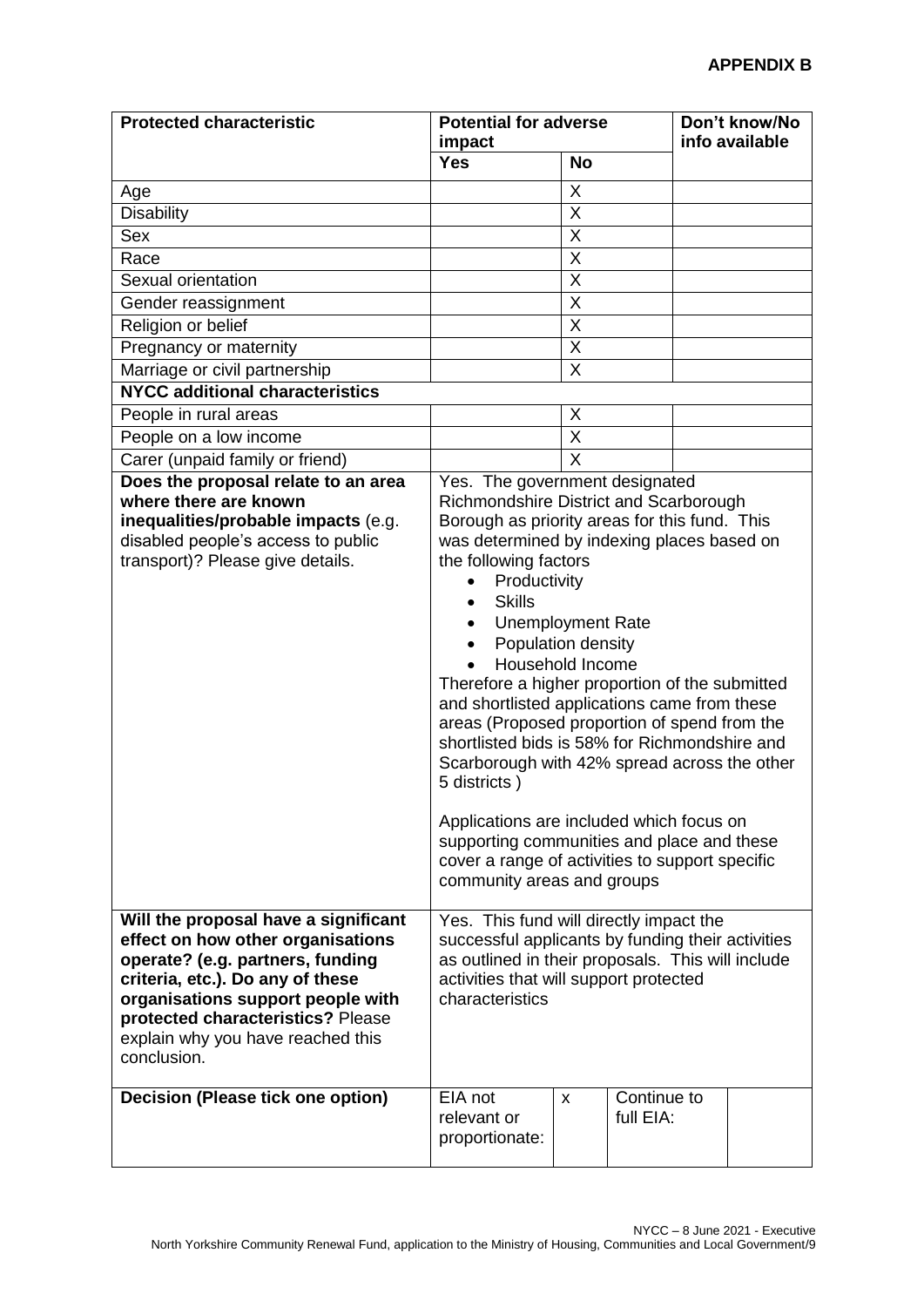| <b>Protected characteristic</b>                                                                                                                                                                                                                                                 | <b>Potential for adverse</b><br>impact                                                                                                                                                                                                                                                                                                                                                                                                                                                                                                                                                                                                                                                                                                                                                           |                         | Don't know/No<br>info available |  |
|---------------------------------------------------------------------------------------------------------------------------------------------------------------------------------------------------------------------------------------------------------------------------------|--------------------------------------------------------------------------------------------------------------------------------------------------------------------------------------------------------------------------------------------------------------------------------------------------------------------------------------------------------------------------------------------------------------------------------------------------------------------------------------------------------------------------------------------------------------------------------------------------------------------------------------------------------------------------------------------------------------------------------------------------------------------------------------------------|-------------------------|---------------------------------|--|
|                                                                                                                                                                                                                                                                                 | <b>Yes</b>                                                                                                                                                                                                                                                                                                                                                                                                                                                                                                                                                                                                                                                                                                                                                                                       | <b>No</b>               |                                 |  |
| Age                                                                                                                                                                                                                                                                             |                                                                                                                                                                                                                                                                                                                                                                                                                                                                                                                                                                                                                                                                                                                                                                                                  | X                       |                                 |  |
| <b>Disability</b>                                                                                                                                                                                                                                                               |                                                                                                                                                                                                                                                                                                                                                                                                                                                                                                                                                                                                                                                                                                                                                                                                  | Χ                       |                                 |  |
| Sex                                                                                                                                                                                                                                                                             |                                                                                                                                                                                                                                                                                                                                                                                                                                                                                                                                                                                                                                                                                                                                                                                                  | X                       |                                 |  |
| Race                                                                                                                                                                                                                                                                            |                                                                                                                                                                                                                                                                                                                                                                                                                                                                                                                                                                                                                                                                                                                                                                                                  | X                       |                                 |  |
| Sexual orientation                                                                                                                                                                                                                                                              |                                                                                                                                                                                                                                                                                                                                                                                                                                                                                                                                                                                                                                                                                                                                                                                                  | $\overline{\mathsf{X}}$ |                                 |  |
| Gender reassignment                                                                                                                                                                                                                                                             |                                                                                                                                                                                                                                                                                                                                                                                                                                                                                                                                                                                                                                                                                                                                                                                                  | X                       |                                 |  |
| Religion or belief                                                                                                                                                                                                                                                              |                                                                                                                                                                                                                                                                                                                                                                                                                                                                                                                                                                                                                                                                                                                                                                                                  | Χ                       |                                 |  |
| Pregnancy or maternity                                                                                                                                                                                                                                                          |                                                                                                                                                                                                                                                                                                                                                                                                                                                                                                                                                                                                                                                                                                                                                                                                  | X                       |                                 |  |
| Marriage or civil partnership                                                                                                                                                                                                                                                   |                                                                                                                                                                                                                                                                                                                                                                                                                                                                                                                                                                                                                                                                                                                                                                                                  | X                       |                                 |  |
| <b>NYCC additional characteristics</b>                                                                                                                                                                                                                                          |                                                                                                                                                                                                                                                                                                                                                                                                                                                                                                                                                                                                                                                                                                                                                                                                  |                         |                                 |  |
| People in rural areas                                                                                                                                                                                                                                                           |                                                                                                                                                                                                                                                                                                                                                                                                                                                                                                                                                                                                                                                                                                                                                                                                  | Χ                       |                                 |  |
| People on a low income                                                                                                                                                                                                                                                          |                                                                                                                                                                                                                                                                                                                                                                                                                                                                                                                                                                                                                                                                                                                                                                                                  | $\overline{X}$          |                                 |  |
| Carer (unpaid family or friend)                                                                                                                                                                                                                                                 |                                                                                                                                                                                                                                                                                                                                                                                                                                                                                                                                                                                                                                                                                                                                                                                                  | $\sf X$                 |                                 |  |
| Does the proposal relate to an area<br>where there are known<br>inequalities/probable impacts (e.g.<br>disabled people's access to public<br>transport)? Please give details.                                                                                                   | Yes. The government designated<br>Richmondshire District and Scarborough<br>Borough as priority areas for this fund. This<br>was determined by indexing places based on<br>the following factors<br>Productivity<br><b>Skills</b><br><b>Unemployment Rate</b><br>Population density<br>Household Income<br>Therefore a higher proportion of the submitted<br>and shortlisted applications came from these<br>areas (Proposed proportion of spend from the<br>shortlisted bids is 58% for Richmondshire and<br>Scarborough with 42% spread across the other<br>5 districts)<br>Applications are included which focus on<br>supporting communities and place and these<br>cover a range of activities to support specific<br>community areas and groups<br>Yes. This fund will directly impact the |                         |                                 |  |
| Will the proposal have a significant<br>effect on how other organisations<br>operate? (e.g. partners, funding<br>criteria, etc.). Do any of these<br>organisations support people with<br>protected characteristics? Please<br>explain why you have reached this<br>conclusion. | successful applicants by funding their activities<br>as outlined in their proposals. This will include<br>activities that will support protected<br>characteristics                                                                                                                                                                                                                                                                                                                                                                                                                                                                                                                                                                                                                              |                         |                                 |  |
| Decision (Please tick one option)                                                                                                                                                                                                                                               | EIA not<br>relevant or<br>proportionate:                                                                                                                                                                                                                                                                                                                                                                                                                                                                                                                                                                                                                                                                                                                                                         | X                       | Continue to<br>full EIA:        |  |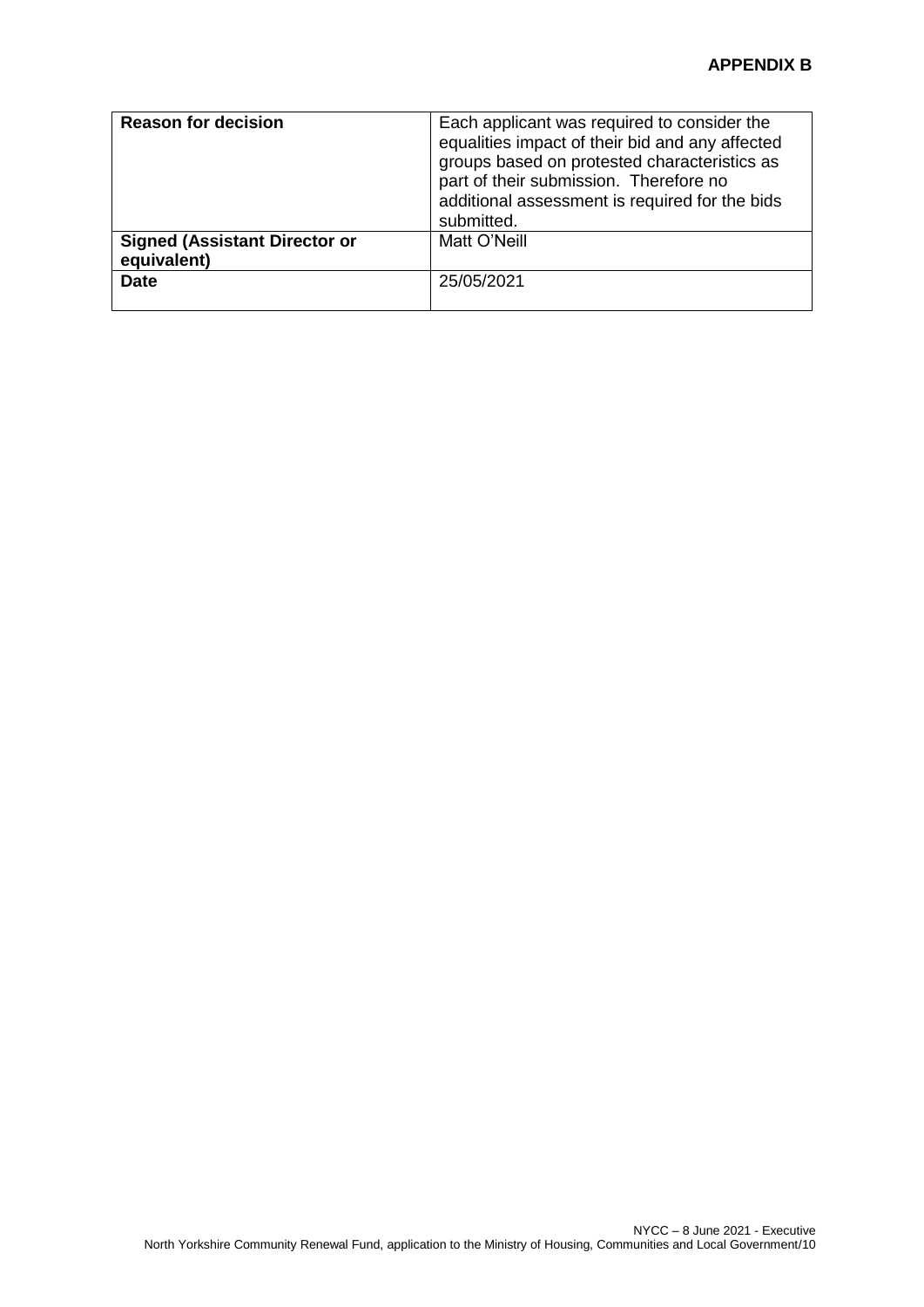| <b>Reason for decision</b>                          | Each applicant was required to consider the<br>equalities impact of their bid and any affected<br>groups based on protested characteristics as<br>part of their submission. Therefore no<br>additional assessment is required for the bids<br>submitted. |
|-----------------------------------------------------|----------------------------------------------------------------------------------------------------------------------------------------------------------------------------------------------------------------------------------------------------------|
| <b>Signed (Assistant Director or</b><br>equivalent) | Matt O'Neill                                                                                                                                                                                                                                             |
| <b>Date</b>                                         | 25/05/2021                                                                                                                                                                                                                                               |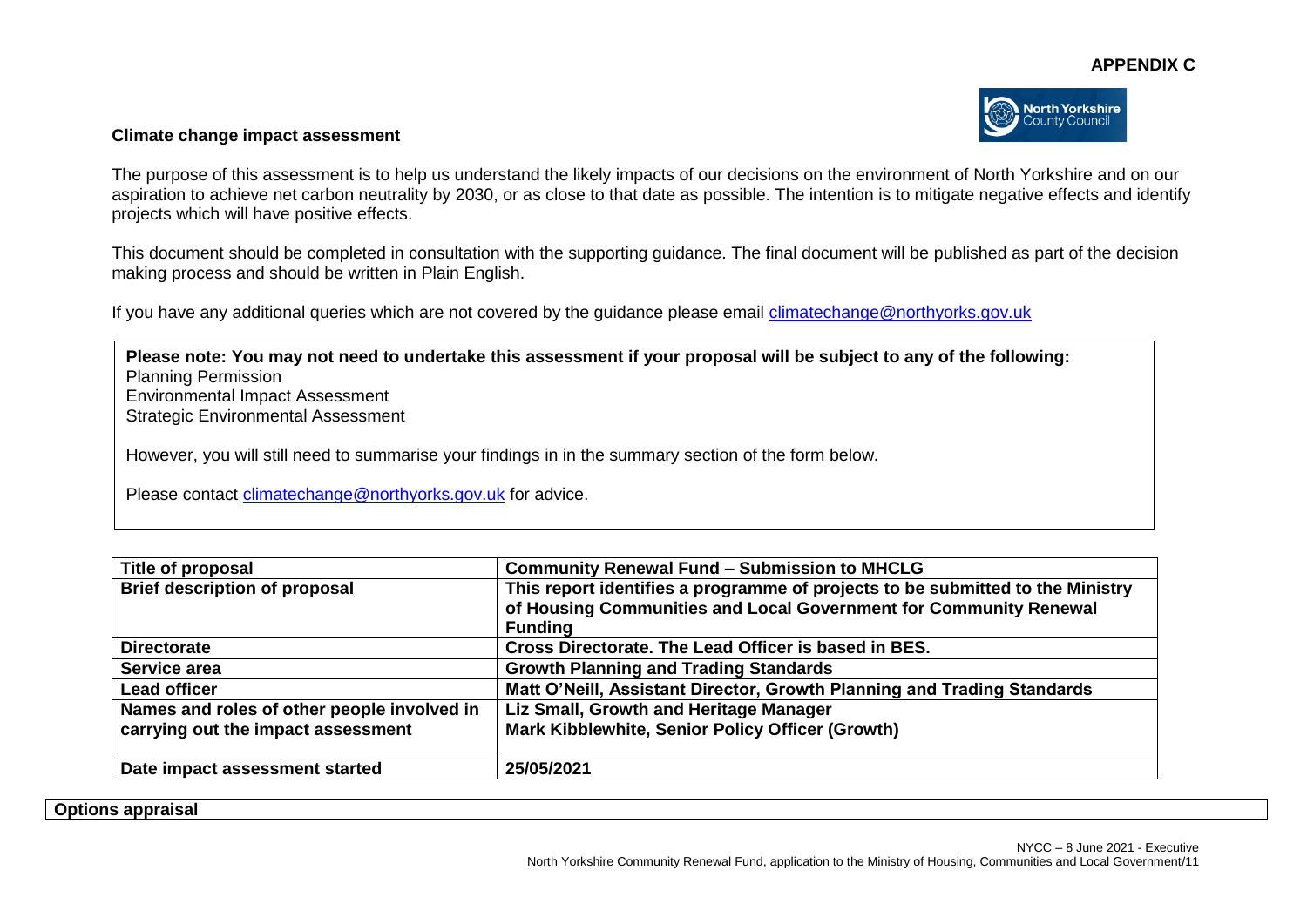

#### **Climate change impact assessment**

The purpose of this assessment is to help us understand the likely impacts of our decisions on the environment of North Yorkshire and on our aspiration to achieve net carbon neutrality by 2030, or as close to that date as possible. The intention is to mitigate negative effects and identify projects which will have positive effects.

This document should be completed in consultation with the supporting guidance. The final document will be published as part of the decision making process and should be written in Plain English.

If you have any additional queries which are not covered by the guidance please email [climatechange@northyorks.gov.uk](mailto:climatechange@northyorks.gov.uk) 

**Please note: You may not need to undertake this assessment if your proposal will be subject to any of the following:**  Planning Permission Environmental Impact Assessment Strategic Environmental Assessment However, you will still need to summarise your findings in in the summary section of the form below. Please contact [climatechange@northyorks.gov.uk](mailto:climatechange@northyorks.gov.uk) for advice.

| Title of proposal                           | <b>Community Renewal Fund - Submission to MHCLG</b>                                                                                                                   |  |
|---------------------------------------------|-----------------------------------------------------------------------------------------------------------------------------------------------------------------------|--|
| <b>Brief description of proposal</b>        | This report identifies a programme of projects to be submitted to the Ministry<br>of Housing Communities and Local Government for Community Renewal<br><b>Funding</b> |  |
| <b>Directorate</b>                          | Cross Directorate. The Lead Officer is based in BES.                                                                                                                  |  |
| Service area                                | <b>Growth Planning and Trading Standards</b>                                                                                                                          |  |
| <b>Lead officer</b>                         | Matt O'Neill, Assistant Director, Growth Planning and Trading Standards                                                                                               |  |
| Names and roles of other people involved in | Liz Small, Growth and Heritage Manager                                                                                                                                |  |
| carrying out the impact assessment          | Mark Kibblewhite, Senior Policy Officer (Growth)                                                                                                                      |  |
| Date impact assessment started              | 25/05/2021                                                                                                                                                            |  |

**Options appraisal**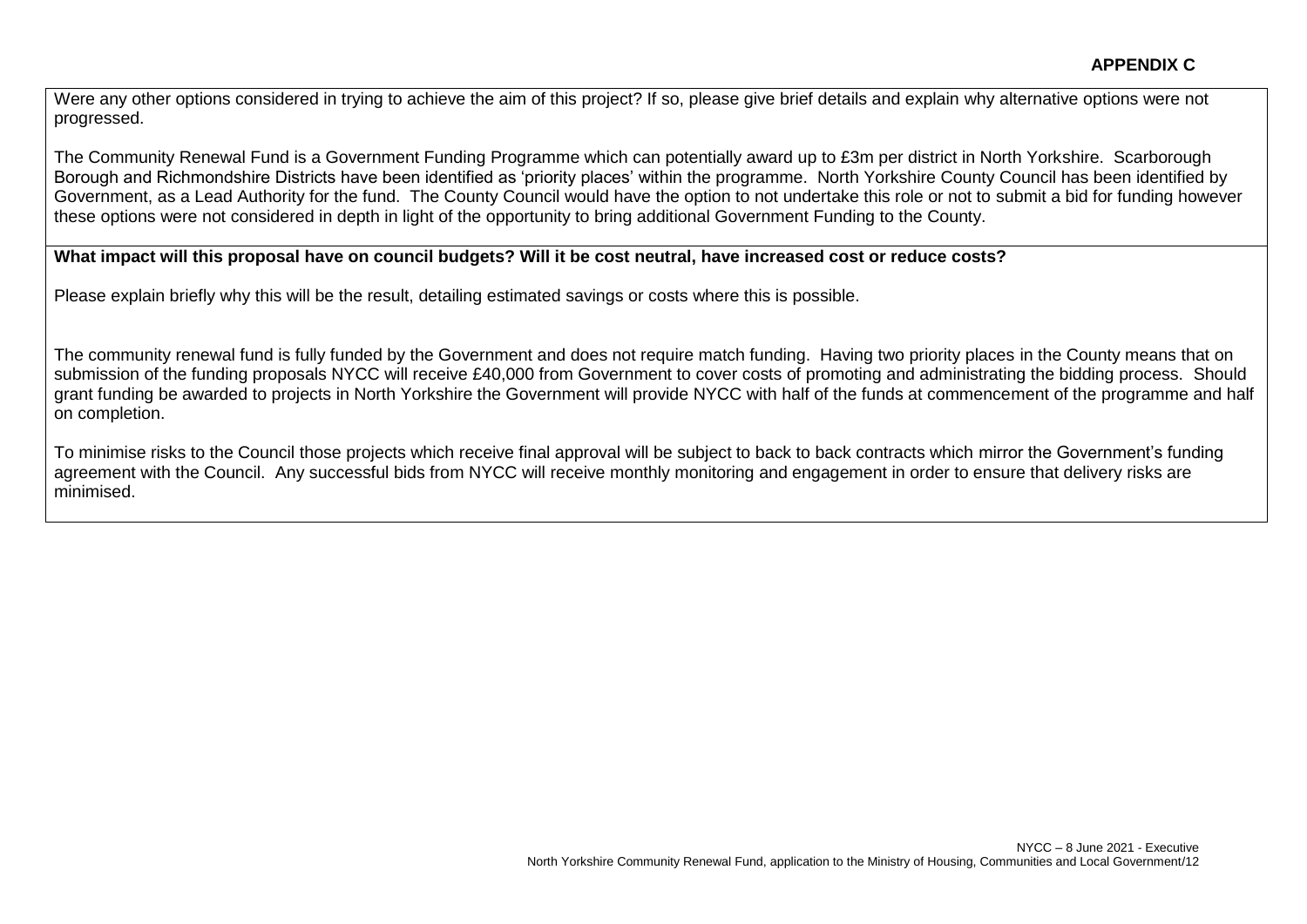Were any other options considered in trying to achieve the aim of this project? If so, please give brief details and explain why alternative options were not progressed.

The Community Renewal Fund is a Government Funding Programme which can potentially award up to £3m per district in North Yorkshire. Scarborough Borough and Richmondshire Districts have been identified as 'priority places' within the programme. North Yorkshire County Council has been identified by Government, as a Lead Authority for the fund. The County Council would have the option to not undertake this role or not to submit a bid for funding however these options were not considered in depth in light of the opportunity to bring additional Government Funding to the County.

### **What impact will this proposal have on council budgets? Will it be cost neutral, have increased cost or reduce costs?**

Please explain briefly why this will be the result, detailing estimated savings or costs where this is possible.

The community renewal fund is fully funded by the Government and does not require match funding. Having two priority places in the County means that on submission of the funding proposals NYCC will receive £40,000 from Government to cover costs of promoting and administrating the bidding process. Should grant funding be awarded to projects in North Yorkshire the Government will provide NYCC with half of the funds at commencement of the programme and half on completion.

To minimise risks to the Council those projects which receive final approval will be subject to back to back contracts which mirror the Government's funding agreement with the Council. Any successful bids from NYCC will receive monthly monitoring and engagement in order to ensure that delivery risks are minimised.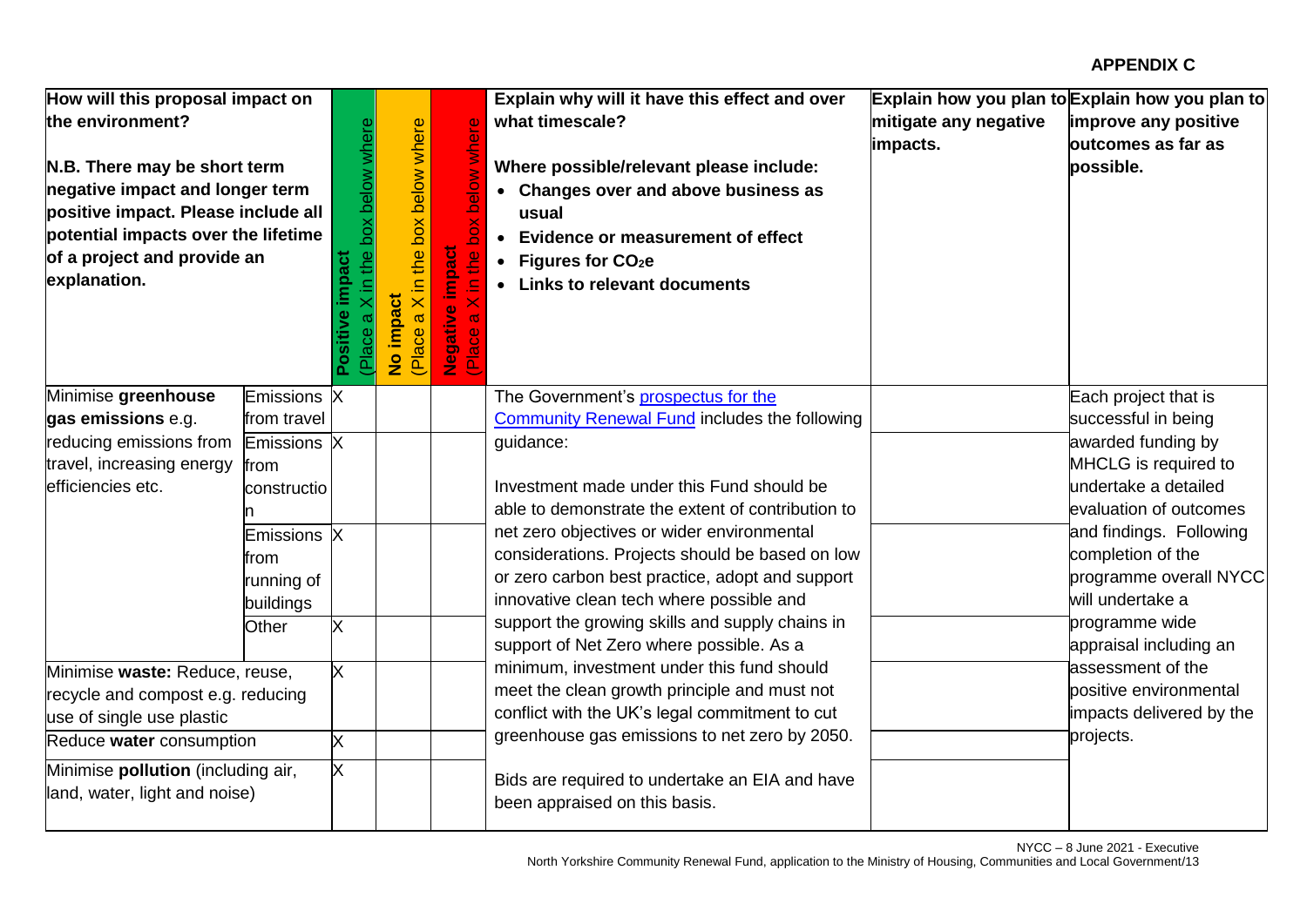| How will this proposal impact on<br>the environment?<br>N.B. There may be short term<br>negative impact and longer term<br>positive impact. Please include all<br>potential impacts over the lifetime<br>of a project and provide an<br>explanation. |                                                | the box below where<br>impact<br>Ξ.<br>Positive<br>Place | box below where<br>in the<br>No impact<br>$\overline{\times}$<br>$\omega$<br>(Place | belo<br>$\delta$<br>impaci<br>$\omega$<br>Negat<br>(Place | Explain why will it have this effect and over<br>what timescale?<br>Where possible/relevant please include:<br>• Changes over and above business as<br>usual<br>• Evidence or measurement of effect<br>• Figures for $CO2e$<br>• Links to relevant documents | mitigate any negative<br>impacts. | Explain how you plan to Explain how you plan to<br>improve any positive<br>butcomes as far as<br>possible.              |
|------------------------------------------------------------------------------------------------------------------------------------------------------------------------------------------------------------------------------------------------------|------------------------------------------------|----------------------------------------------------------|-------------------------------------------------------------------------------------|-----------------------------------------------------------|--------------------------------------------------------------------------------------------------------------------------------------------------------------------------------------------------------------------------------------------------------------|-----------------------------------|-------------------------------------------------------------------------------------------------------------------------|
| Minimise greenhouse<br>gas emissions e.g.                                                                                                                                                                                                            | <b>Emissions</b><br>from travel                | X                                                        |                                                                                     |                                                           | The Government's prospectus for the<br><b>Community Renewal Fund includes the following</b>                                                                                                                                                                  |                                   | Each project that is<br>successful in being                                                                             |
| reducing emissions from<br>travel, increasing energy<br>efficiencies etc.                                                                                                                                                                            | Emissions X<br>from<br>constructio             |                                                          |                                                                                     |                                                           | guidance:<br>Investment made under this Fund should be<br>able to demonstrate the extent of contribution to<br>net zero objectives or wider environmental                                                                                                    |                                   | awarded funding by<br>MHCLG is required to<br>undertake a detailed<br>evaluation of outcomes<br>and findings. Following |
|                                                                                                                                                                                                                                                      | Emissions X<br>from<br>running of<br>buildings |                                                          |                                                                                     |                                                           | considerations. Projects should be based on low<br>or zero carbon best practice, adopt and support<br>innovative clean tech where possible and                                                                                                               |                                   | completion of the<br>programme overall NYCC<br>will undertake a                                                         |
|                                                                                                                                                                                                                                                      | Other                                          | X                                                        |                                                                                     |                                                           | support the growing skills and supply chains in<br>support of Net Zero where possible. As a                                                                                                                                                                  |                                   | programme wide<br>appraisal including an                                                                                |
| Minimise waste: Reduce, reuse,<br>recycle and compost e.g. reducing<br>use of single use plastic                                                                                                                                                     |                                                | X.                                                       |                                                                                     |                                                           | minimum, investment under this fund should<br>meet the clean growth principle and must not<br>conflict with the UK's legal commitment to cut                                                                                                                 |                                   | assessment of the<br>positive environmental<br>impacts delivered by the                                                 |
| Reduce water consumption                                                                                                                                                                                                                             |                                                | X                                                        |                                                                                     |                                                           | greenhouse gas emissions to net zero by 2050.                                                                                                                                                                                                                |                                   | projects.                                                                                                               |
| Minimise <b>pollution</b> (including air,<br>land, water, light and noise)                                                                                                                                                                           |                                                | X.                                                       |                                                                                     |                                                           | Bids are required to undertake an EIA and have<br>been appraised on this basis.                                                                                                                                                                              |                                   |                                                                                                                         |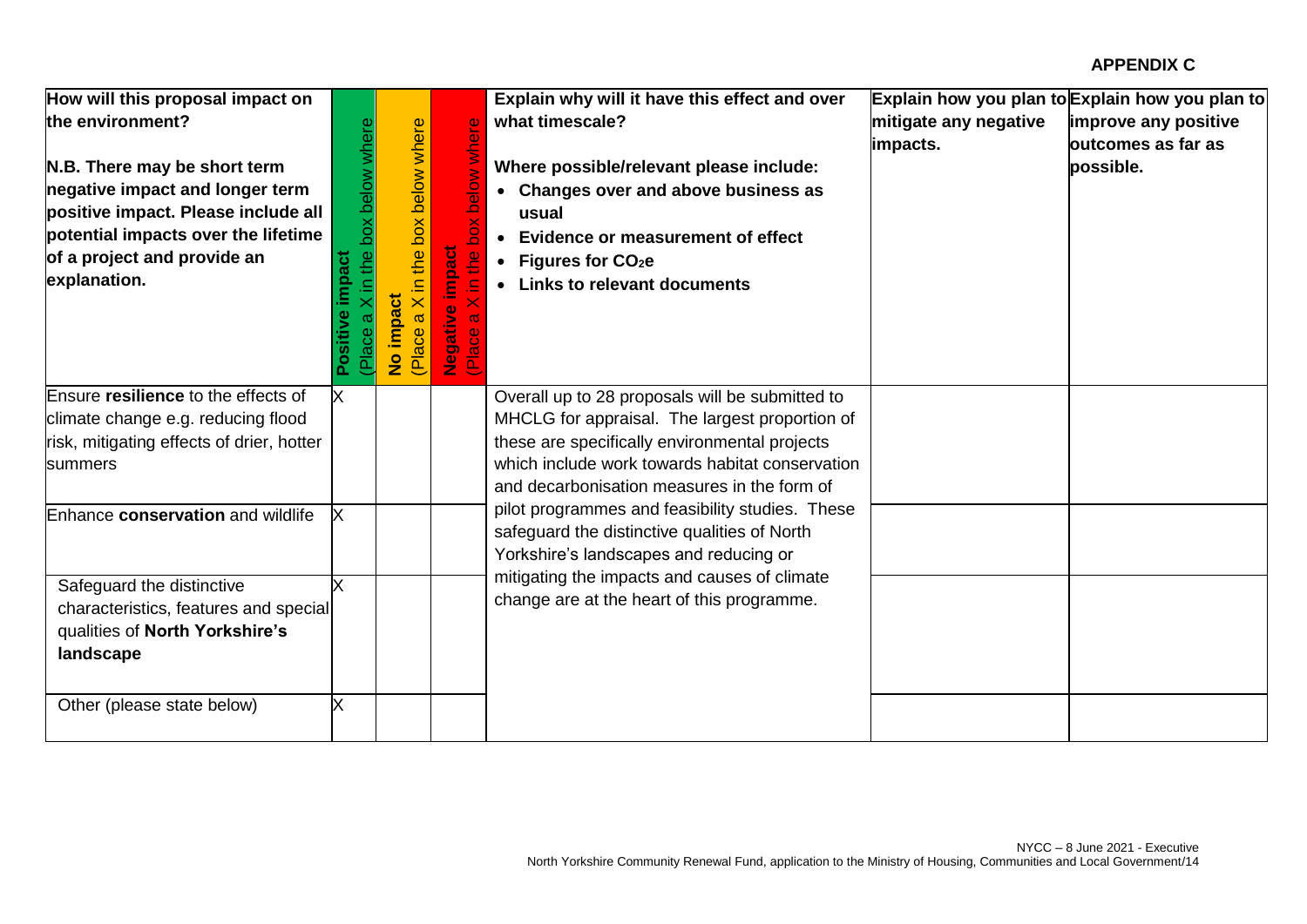| How will this proposal impact on<br>the environment?<br>N.B. There may be short term<br>negative impact and longer term<br>positive impact. Please include all<br>potential impacts over the lifetime<br>of a project and provide an<br>explanation. | box below where<br>the<br>pact<br>ᇟ | box below where<br>the<br><u>⊇.</u><br>$\times$<br>ݹ<br>(Place<br>$\frac{9}{2}$ | belo<br><b>Impact</b><br>$\frac{1}{2}$<br>亘 | Explain why will it have this effect and over<br>what timescale?<br>Where possible/relevant please include:<br>• Changes over and above business as<br>usual<br>Evidence or measurement of effect<br>Figures for $CO2e$<br><b>Links to relevant documents</b> | mitigate any negative<br>impacts. | Explain how you plan to Explain how you plan to<br>improve any positive<br>outcomes as far as<br>possible. |
|------------------------------------------------------------------------------------------------------------------------------------------------------------------------------------------------------------------------------------------------------|-------------------------------------|---------------------------------------------------------------------------------|---------------------------------------------|---------------------------------------------------------------------------------------------------------------------------------------------------------------------------------------------------------------------------------------------------------------|-----------------------------------|------------------------------------------------------------------------------------------------------------|
| Ensure resilience to the effects of<br>climate change e.g. reducing flood<br>risk, mitigating effects of drier, hotter<br>summers                                                                                                                    | X                                   |                                                                                 |                                             | Overall up to 28 proposals will be submitted to<br>MHCLG for appraisal. The largest proportion of<br>these are specifically environmental projects<br>which include work towards habitat conservation<br>and decarbonisation measures in the form of          |                                   |                                                                                                            |
| Enhance conservation and wildlife                                                                                                                                                                                                                    |                                     |                                                                                 |                                             | pilot programmes and feasibility studies. These<br>safeguard the distinctive qualities of North<br>Yorkshire's landscapes and reducing or                                                                                                                     |                                   |                                                                                                            |
| Safeguard the distinctive<br>characteristics, features and special<br>qualities of North Yorkshire's<br>landscape                                                                                                                                    |                                     |                                                                                 |                                             | mitigating the impacts and causes of climate<br>change are at the heart of this programme.                                                                                                                                                                    |                                   |                                                                                                            |
| Other (please state below)                                                                                                                                                                                                                           |                                     |                                                                                 |                                             |                                                                                                                                                                                                                                                               |                                   |                                                                                                            |